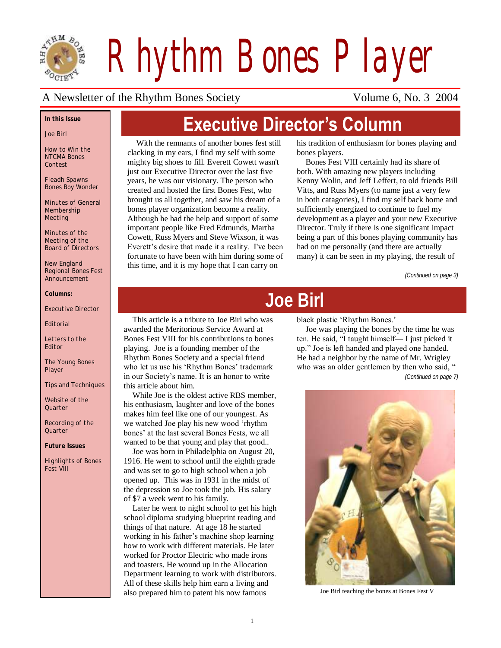

*Rhythm Bones Player*

#### A Newsletter of the Rhythm Bones Society Volume 6, No. 3 2004

#### *In this Issue*

*Joe Birl*

*How to Win the NTCMA Bones Contest*

*Fleadh Spawns Bones Boy Wonder* 

*Minutes of General Membership Meeting*

*Minutes of the Meeting of the Board of Directors*

*New England Regional Bones Fest Announcement*

*Columns:*

*Executive Director*

*Editorial*

*Letters to the Editor*

*The Young Bones Player*

*Tips and Techniques*

*Website of the Quarter*

*Recording of the Quarter*

*Future Issues*

*Highlights of Bones Fest VIII*

# **Executive Director's Column**

With the remnants of another bones fest still clacking in my ears, I find my self with some mighty big shoes to fill. Everett Cowett wasn't just our Executive Director over the last five years, he was our visionary. The person who created and hosted the first Bones Fest, who brought us all together, and saw his dream of a bones player organization become a reality. Although he had the help and support of some important people like Fred Edmunds, Martha Cowett, Russ Myers and Steve Wixson, it was Everett"s desire that made it a reality. I've been fortunate to have been with him during some of this time, and it is my hope that I can carry on

his tradition of enthusiasm for bones playing and bones players.

Bones Fest VIII certainly had its share of both. With amazing new players including Kenny Wolin, and Jeff Leffert, to old friends Bill Vitts, and Russ Myers (to name just a very few in both catagories), I find my self back home and sufficiently energized to continue to fuel my development as a player and your new Executive Director. Truly if there is one significant impact being a part of this bones playing community has had on me personally (and there are actually many) it can be seen in my playing, the result of

*(Continued on page 3)*

# **Joe Birl**

This article is a tribute to Joe Birl who was awarded the Meritorious Service Award at Bones Fest VIII for his contributions to bones playing. Joe is a founding member of the Rhythm Bones Society and a special friend who let us use his 'Rhythm Bones' trademark in our Society"s name. It is an honor to write this article about him.

While Joe is the oldest active RBS member, his enthusiasm, laughter and love of the bones makes him feel like one of our youngest. As we watched Joe play his new wood "rhythm bones" at the last several Bones Fests, we all wanted to be that young and play that good..

Joe was born in Philadelphia on August 20, 1916. He went to school until the eighth grade and was set to go to high school when a job opened up. This was in 1931 in the midst of the depression so Joe took the job. His salary of \$7 a week went to his family.

Later he went to night school to get his high school diploma studying blueprint reading and things of that nature. At age 18 he started working in his father"s machine shop learning how to work with different materials. He later worked for Proctor Electric who made irons and toasters. He wound up in the Allocation Department learning to work with distributors. All of these skills help him earn a living and also prepared him to patent his now famous

black plastic 'Rhythm Bones.'

Joe was playing the bones by the time he was ten. He said, "I taught himself— I just picked it up." Joe is left handed and played one handed. He had a neighbor by the name of Mr. Wrigley who was an older gentlemen by then who said, " *(Continued on page 7)*



Joe Birl teaching the bones at Bones Fest V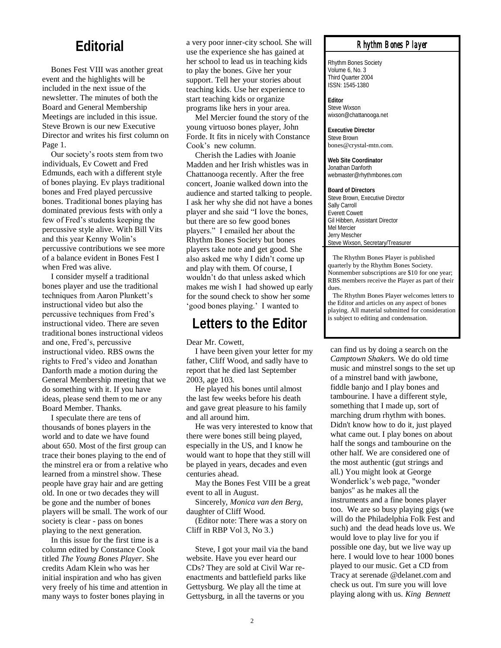#### **Editorial**

Bones Fest VIII was another great event and the highlights will be included in the next issue of the newsletter. The minutes of both the Board and General Membership Meetings are included in this issue. Steve Brown is our new Executive Director and writes his first column on Page 1.

Our society"s roots stem from two individuals, Ev Cowett and Fred Edmunds, each with a different style of bones playing. Ev plays traditional bones and Fred played percussive bones. Traditional bones playing has dominated previous fests with only a few of Fred"s students keeping the percussive style alive. With Bill Vits and this year Kenny Wolin"s percussive contributions we see more of a balance evident in Bones Fest I when Fred was alive.

I consider myself a traditional bones player and use the traditional techniques from Aaron Plunkett"s instructional video but also the percussive techniques from Fred"s instructional video. There are seven traditional bones instructional videos and one, Fred"s, percussive instructional video. RBS owns the rights to Fred"s video and Jonathan Danforth made a motion during the General Membership meeting that we do something with it. If you have ideas, please send them to me or any Board Member. Thanks.

I speculate there are tens of thousands of bones players in the world and to date we have found about 650. Most of the first group can trace their bones playing to the end of the minstrel era or from a relative who learned from a minstrel show. These people have gray hair and are getting old. In one or two decades they will be gone and the number of bones players will be small. The work of our society is clear - pass on bones playing to the next generation.

In this issue for the first time is a column edited by Constance Cook titled *The Young Bones Player*. She credits Adam Klein who was her initial inspiration and who has given very freely of his time and attention in many ways to foster bones playing in

a very poor inner-city school. She will use the experience she has gained at her school to lead us in teaching kids to play the bones. Give her your support. Tell her your stories about teaching kids. Use her experience to start teaching kids or organize programs like hers in your area.

Mel Mercier found the story of the young virtuoso bones player, John Forde. It fits in nicely with Constance Cook"s new column.

Cherish the Ladies with Joanie Madden and her Irish whistles was in Chattanooga recently. After the free concert, Joanie walked down into the audience and started talking to people. I ask her why she did not have a bones player and she said "I love the bones, but there are so few good bones players." I emailed her about the Rhythm Bones Society but bones players take note and get good. She also asked me why I didn"t come up and play with them. Of course, I wouldn"t do that unless asked which makes me wish I had showed up early for the sound check to show her some "good bones playing." I wanted to

#### **Letters to the Editor**

Dear Mr. Cowett,

I have been given your letter for my father, Cliff Wood, and sadly have to report that he died last September 2003, age 103.

He played his bones until almost the last few weeks before his death and gave great pleasure to his family and all around him.

He was very interested to know that there were bones still being played, especially in the US, and I know he would want to hope that they still will be played in years, decades and even centuries ahead.

May the Bones Fest VIII be a great event to all in August.

Sincerely, *Monica van den Berg*, daughter of Cliff Wood.

(Editor note: There was a story on Cliff in RBP Vol 3, No 3.)

Steve, I got your mail via the band website. Have you ever heard our CDs? They are sold at Civil War reenactments and battlefield parks like Gettysburg. We play all the time at Gettysburg, in all the taverns or you

#### *Rhythm Bones Player*

Rhythm Bones Society Volume 6, No. 3 Third Quarter 2004 ISSN: 1545-1380

**Editor** Steve Wixson wixson@chattanooga.net

**Executive Director** Steve Brown bones@crystal-mtn.com.

**Web Site Coordinator** Jonathan Danforth webmaster@rhythmbones.com

**Board of Directors** Steve Brown, Executive Director Sally Carroll Everett Cowett Gil Hibben, Assistant Director Mel Mercier Jerry Mescher Steve Wixson, Secretary/Treasurer

 The Rhythm Bones Player is published quarterly by the Rhythm Bones Society. Nonmember subscriptions are \$10 for one year; RBS members receive the Player as part of their dues.

 The Rhythm Bones Player welcomes letters to the Editor and articles on any aspect of bones playing. All material submitted for consideration is subject to editing and condensation.

can find us by doing a search on the *Camptown Shakers.* We do old time music and minstrel songs to the set up of a minstrel band with jawbone, fiddle banjo and I play bones and tambourine. I have a different style, something that I made up, sort of marching drum rhythm with bones. Didn't know how to do it, just played what came out. I play bones on about half the songs and tambourine on the other half. We are considered one of the most authentic (gut strings and all.) You might look at George Wonderlick"s web page, "wonder banjos" as he makes all the instruments and a fine bones player too. We are so busy playing gigs (we will do the Philadelphia Folk Fest and such) and the dead heads love us. We would love to play live for you if possible one day, but we live way up here. I would love to hear 1000 bones played to our music. Get a CD from Tracy at serenade @delanet.com and check us out. I'm sure you will love playing along with us. *King Bennett*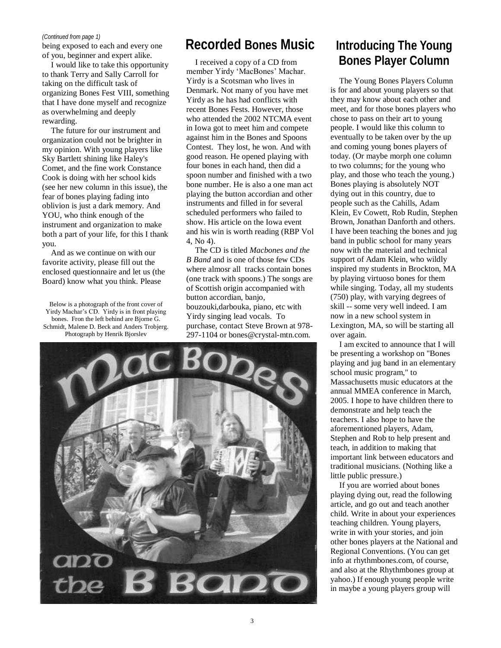#### *(Continued from page 1)*

being exposed to each and every one of you, beginner and expert alike.

I would like to take this opportunity to thank Terry and Sally Carroll for taking on the difficult task of organizing Bones Fest VIII, something that I have done myself and recognize as overwhelming and deeply rewarding.

The future for our instrument and organization could not be brighter in my opinion. With young players like Sky Bartlett shining like Haley's Comet, and the fine work Constance Cook is doing with her school kids (see her new column in this issue), the fear of bones playing fading into oblivion is just a dark memory. And YOU, who think enough of the instrument and organization to make both a part of your life, for this I thank you.

And as we continue on with our favorite activity, please fill out the enclosed questionnaire and let us (the Board) know what you think. Please

Below is a photograph of the front cover of Yirdy Machar"s CD. Yirdy is in front playing bones. Fron the left behind are Bjorne G. Schmidt, Malene D. Beck and Anders Trobjerg. Photograph by Henrik Bjorslev

### **Recorded Bones Music**

I received a copy of a CD from member Yirdy "MacBones" Machar. Yirdy is a Scotsman who lives in Denmark. Not many of you have met Yirdy as he has had conflicts with recent Bones Fests. However, those who attended the 2002 NTCMA event in Iowa got to meet him and compete against him in the Bones and Spoons Contest. They lost, he won. And with good reason. He opened playing with four bones in each hand, then did a spoon number and finished with a two bone number. He is also a one man act playing the button accordian and other instruments and filled in for several scheduled performers who failed to show. His article on the Iowa event and his win is worth reading (RBP Vol 4, No 4).

The CD is titled *Macbones and the B Band* and is one of those few CDs where almosr all tracks contain bones (one track with spoons.) The songs are of Scottish origin accompanied with button accordian, banjo, bouzouki,darbouka, piano, etc with Yirdy singing lead vocals. To purchase, contact Steve Brown at 978- 297-1104 or bones@crystal-mtn.com.



#### **Introducing The Young Bones Player Column**

The Young Bones Players Column is for and about young players so that they may know about each other and meet, and for those bones players who chose to pass on their art to young people. I would like this column to eventually to be taken over by the up and coming young bones players of today. (Or maybe morph one column to two columns; for the young who play, and those who teach the young.) Bones playing is absolutely NOT dying out in this country, due to people such as the Cahills, Adam Klein, Ev Cowett, Rob Rudin, Stephen Brown, Jonathan Danforth and others. I have been teaching the bones and jug band in public school for many years now with the material and technical support of Adam Klein, who wildly inspired my students in Brockton, MA by playing virtuoso bones for them while singing. Today, all my students (750) play, with varying degrees of skill -- some very well indeed. I am now in a new school system in Lexington, MA, so will be starting all over again.

I am excited to announce that I will be presenting a workshop on "Bones playing and jug band in an elementary school music program," to Massachusetts music educators at the annual MMEA conference in March, 2005. I hope to have children there to demonstrate and help teach the teachers. I also hope to have the aforementioned players, Adam, Stephen and Rob to help present and teach, in addition to making that important link between educators and traditional musicians. (Nothing like a little public pressure.)

If you are worried about bones playing dying out, read the following article, and go out and teach another child. Write in about your experiences teaching children. Young players, write in with your stories, and join other bones players at the National and Regional Conventions. (You can get info at rhythmbones.com, of course, and also at the Rhythmbones group at yahoo.) If enough young people write in maybe a young players group will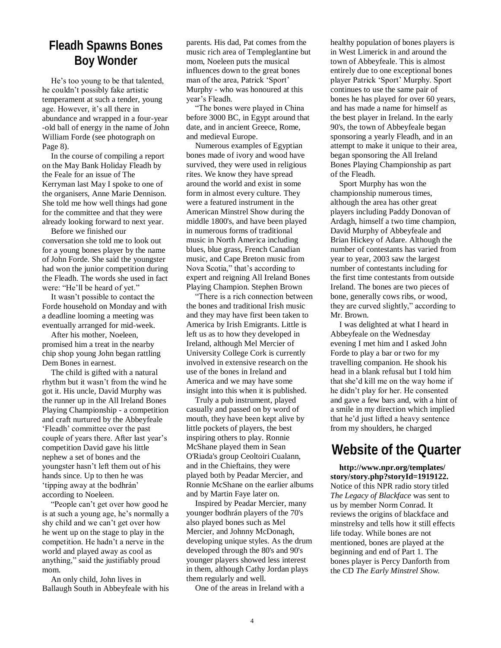#### **Fleadh Spawns Bones Boy Wonder**

He's too young to be that talented, he couldn"t possibly fake artistic temperament at such a tender, young age. However, it's all there in abundance and wrapped in a four-year -old ball of energy in the name of John William Forde (see photograph on Page 8).

In the course of compiling a report on the May Bank Holiday Fleadh by the Feale for an issue of The Kerryman last May I spoke to one of the organisers, Anne Marie Dennison. She told me how well things had gone for the committee and that they were already looking forward to next year.

Before we finished our conversation she told me to look out for a young bones player by the name of John Forde. She said the youngster had won the junior competition during the Fleadh. The words she used in fact were: "He"ll be heard of yet."

It wasn"t possible to contact the Forde household on Monday and with a deadline looming a meeting was eventually arranged for mid-week.

After his mother, Noeleen, promised him a treat in the nearby chip shop young John began rattling Dem Bones in earnest.

The child is gifted with a natural rhythm but it wasn"t from the wind he got it. His uncle, David Murphy was the runner up in the All Ireland Bones Playing Championship - a competition and craft nurtured by the Abbeyfeale "Fleadh" committee over the past couple of years there. After last year"s competition David gave his little nephew a set of bones and the youngster hasn"t left them out of his hands since. Up to then he was 'tipping away at the bodhrán' according to Noeleen.

"People can"t get over how good he is at such a young age, he"s normally a shy child and we can"t get over how he went up on the stage to play in the competition. He hadn"t a nerve in the world and played away as cool as anything," said the justifiably proud mom.

An only child, John lives in Ballaugh South in Abbeyfeale with his

parents. His dad, Pat comes from the music rich area of Templeglantine but mom, Noeleen puts the musical influences down to the great bones man of the area, Patrick "Sport" Murphy - who was honoured at this year"s Fleadh.

"The bones were played in China before 3000 BC, in Egypt around that date, and in ancient Greece, Rome, and medieval Europe.

Numerous examples of Egyptian bones made of ivory and wood have survived, they were used in religious rites. We know they have spread around the world and exist in some form in almost every culture. They were a featured instrument in the American Minstrel Show during the middle 1800's, and have been played in numerous forms of traditional music in North America including blues, blue grass, French Canadian music, and Cape Breton music from Nova Scotia," that"s according to expert and reigning All Ireland Bones Playing Champion. Stephen Brown

"There is a rich connection between the bones and traditional Irish music and they may have first been taken to America by Irish Emigrants. Little is left us as to how they developed in Ireland, although Mel Mercier of University College Cork is currently involved in extensive research on the use of the bones in Ireland and America and we may have some insight into this when it is published.

Truly a pub instrument, played casually and passed on by word of mouth, they have been kept alive by little pockets of players, the best inspiring others to play. Ronnie McShane played them in Sean O'Riada's group Ceoltoiri Cualann, and in the Chieftains, they were played both by Peadar Mercier, and Ronnie McShane on the earlier albums and by Martin Faye later on.

Inspired by Peadar Mercier, many younger bodhrán players of the 70's also played bones such as Mel Mercier, and Johnny McDonagh, developing unique styles. As the drum developed through the 80's and 90's younger players showed less interest in them, although Cathy Jordan plays them regularly and well.

One of the areas in Ireland with a

healthy population of bones players is in West Limerick in and around the town of Abbeyfeale. This is almost entirely due to one exceptional bones player Patrick "Sport" Murphy. Sport continues to use the same pair of bones he has played for over 60 years, and has made a name for himself as the best player in Ireland. In the early 90's, the town of Abbeyfeale began sponsoring a yearly Fleadh, and in an attempt to make it unique to their area, began sponsoring the All Ireland Bones Playing Championship as part of the Fleadh.

Sport Murphy has won the championship numerous times, although the area has other great players including Paddy Donovan of Ardagh, himself a two time champion, David Murphy of Abbeyfeale and Brian Hickey of Adare. Although the number of contestants has varied from year to year, 2003 saw the largest number of contestants including for the first time contestants from outside Ireland. The bones are two pieces of bone, generally cows ribs, or wood, they are curved slightly," according to Mr. Brown.

I was delighted at what I heard in Abbeyfeale on the Wednesday evening I met him and I asked John Forde to play a bar or two for my travelling companion. He shook his head in a blank refusal but I told him that she"d kill me on the way home if he didn"t play for her. He consented and gave a few bars and, with a hint of a smile in my direction which implied that he"d just lifted a heavy sentence from my shoulders, he charged

### **Website of the Quarter**

**http://www.npr.org/templates/ story/story.php?storyId=1919122.**  Notice of this NPR radio story titled *The Legacy of Blackface* was sent to us by member Norm Conrad. It reviews the origins of blackface and minstrelsy and tells how it still effects life today. While bones are not mentioned, bones are played at the beginning and end of Part 1. The bones player is Percy Danforth from the CD *The Early Minstrel Show.*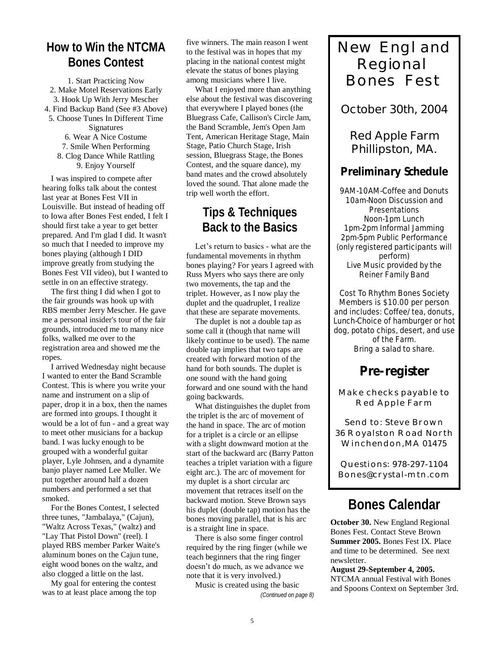#### **How to Win the NTCMA Bones Contest**

1. Start Practicing Now 2. Make Motel Reservations Early 3. Hook Up With Jerry Mescher 4. Find Backup Band (See #3 Above) 5. Choose Tunes In Different Time Signatures 6. Wear A Nice Costume 7. Smile When Performing 8. Clog Dance While Rattling 9. Enjoy Yourself

I was inspired to compete after hearing folks talk about the contest last year at Bones Fest VII in Louisville. But instead of heading off to Iowa after Bones Fest ended, I felt I should first take a year to get better prepared. And I'm glad I did. It wasn't so much that I needed to improve my bones playing (although I DID improve greatly from studying the Bones Fest VII video), but I wanted to settle in on an effective strategy.

The first thing I did when I got to the fair grounds was hook up with RBS member Jerry Mescher. He gave me a personal insider's tour of the fair grounds, introduced me to many nice folks, walked me over to the registration area and showed me the ropes.

I arrived Wednesday night because I wanted to enter the Band Scramble Contest. This is where you write your name and instrument on a slip of paper, drop it in a box, then the names are formed into groups. I thought it would be a lot of fun - and a great way to meet other musicians for a backup band. I was lucky enough to be grouped with a wonderful guitar player, Lyle Johnsen, and a dynamite banjo player named Lee Muller. We put together around half a dozen numbers and performed a set that smoked.

For the Bones Contest, I selected three tunes, "Jambalaya," (Cajun), "Waltz Across Texas," (waltz) and "Lay That Pistol Down" (reel). I played RBS member Parker Waite's aluminum bones on the Cajun tune, eight wood bones on the waltz, and also clogged a little on the last.

My goal for entering the contest was to at least place among the top

five winners. The main reason I went to the festival was in hopes that my placing in the national contest might elevate the status of bones playing among musicians where I live.

What I enjoyed more than anything else about the festival was discovering that everywhere I played bones (the Bluegrass Cafe, Callison's Circle Jam, the Band Scramble, Jem's Open Jam Tent, American Heritage Stage, Main Stage, Patio Church Stage, Irish session, Bluegrass Stage, the Bones Contest, and the square dance), my band mates and the crowd absolutely loved the sound. That alone made the trip well worth the effort.

#### **Tips & Techniques Back to the Basics**

Let's return to basics - what are the fundamental movements in rhythm bones playing? For years I agreed with Russ Myers who says there are only two movements, the tap and the triplet. However, as I now play the duplet and the quadruplet, I realize that these are separate movements.

The duplet is not a double tap as some call it (though that name will likely continue to be used). The name double tap implies that two taps are created with forward motion of the hand for both sounds. The duplet is one sound with the hand going forward and one sound with the hand going backwards.

What distinguishes the duplet from the triplet is the arc of movement of the hand in space. The arc of motion for a triplet is a circle or an ellipse with a slight downward motion at the start of the backward arc (Barry Patton teaches a triplet variation with a figure eight arc.). The arc of movement for my duplet is a short circular arc movement that retraces itself on the backward motion. Steve Brown says his duplet (double tap) motion has the bones moving parallel, that is his arc is a straight line in space.

There is also some finger control required by the ring finger (while we teach beginners that the ring finger doesn"t do much, as we advance we note that it is very involved.)

Music is created using the basic *(Continued on page 8)*

# New England Regional Bones Fest

#### **October 30th, 2004**

#### **Red Apple Farm Phillipston, MA.**

#### **Preliminary Schedule**

9AM-10AM-Coffee and Donuts 10am-Noon Discussion and **Presentations** Noon-1pm Lunch 1pm-2pm Informal Jamming 2pm-5pm Public Performance (only registered participants will perform) Live Music provided by the Reiner Family Band

Cost To Rhythm Bones Society Members is \$10.00 per person and includes: Coffee/tea, donuts, Lunch-Choice of hamburger or hot dog, potato chips, desert, and use of the Farm. Bring a salad to share.

## **Pre-register**

Make checks payable to Red Apple Farm

Send to: Steve Brown 36 Royalston Road North Winchendon,MA 01475

Questions: 978-297-1104 Bones@crystal-mtn.com

# **Bones Calendar**

**October 30.** New England Regional Bones Fest. Contact Steve Brown **Summer 2005.** Bones Fest IX. Place and time to be determined. See next newsletter.

**August 29-September 4, 2005.**  NTCMA annual Festival with Bones and Spoons Context on September 3rd.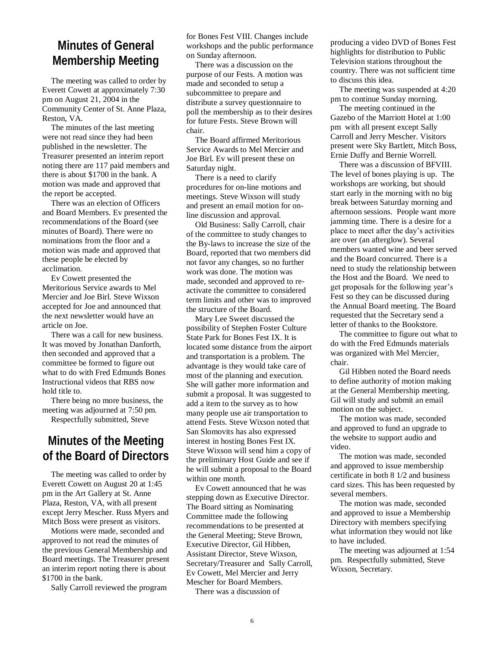#### **Minutes of General Membership Meeting**

The meeting was called to order by Everett Cowett at approximately 7:30 pm on August 21, 2004 in the Community Center of St. Anne Plaza, Reston, VA.

The minutes of the last meeting were not read since they had been published in the newsletter. The Treasurer presented an interim report noting there are 117 paid members and there is about \$1700 in the bank. A motion was made and approved that the report be accepted.

There was an election of Officers and Board Members. Ev presented the recommendations of the Board (see minutes of Board). There were no nominations from the floor and a motion was made and approved that these people be elected by acclimation.

Ev Cowett presented the Meritorious Service awards to Mel Mercier and Joe Birl. Steve Wixson accepted for Joe and announced that the next newsletter would have an article on Joe.

There was a call for new business. It was moved by Jonathan Danforth, then seconded and approved that a committee be formed to figure out what to do with Fred Edmunds Bones Instructional videos that RBS now hold title to.

There being no more business, the meeting was adjourned at 7:50 pm.

Respectfully submitted, Steve

#### **Minutes of the Meeting of the Board of Directors**

The meeting was called to order by Everett Cowett on August 20 at 1:45 pm in the Art Gallery at St. Anne Plaza, Reston, VA, with all present except Jerry Mescher. Russ Myers and Mitch Boss were present as visitors.

Motions were made, seconded and approved to not read the minutes of the previous General Membership and Board meetings. The Treasurer present an interim report noting there is about \$1700 in the bank.

Sally Carroll reviewed the program

for Bones Fest VIII. Changes include workshops and the public performance on Sunday afternoon.

There was a discussion on the purpose of our Fests. A motion was made and seconded to setup a subcommittee to prepare and distribute a survey questionnaire to poll the membership as to their desires for future Fests. Steve Brown will chair.

The Board affirmed Meritorious Service Awards to Mel Mercier and Joe Birl. Ev will present these on Saturday night.

There is a need to clarify procedures for on-line motions and meetings. Steve Wixson will study and present an email motion for online discussion and approval.

Old Business: Sally Carroll, chair of the committee to study changes to the By-laws to increase the size of the Board, reported that two members did not favor any changes, so no further work was done. The motion was made, seconded and approved to reactivate the committee to considered term limits and other was to improved the structure of the Board.

Mary Lee Sweet discussed the possibility of Stephen Foster Culture State Park for Bones Fest IX. It is located some distance from the airport and transportation is a problem. The advantage is they would take care of most of the planning and execution. She will gather more information and submit a proposal. It was suggested to add a item to the survey as to how many people use air transportation to attend Fests. Steve Wixson noted that San Slomovits has also expressed interest in hosting Bones Fest IX. Steve Wixson will send him a copy of the preliminary Host Guide and see if he will submit a proposal to the Board within one month.

Ev Cowett announced that he was stepping down as Executive Director. The Board sitting as Nominating Committee made the following recommendations to be presented at the General Meeting; Steve Brown, Executive Director, Gil Hibben, Assistant Director, Steve Wixson, Secretary/Treasurer and Sally Carroll, Ev Cowett, Mel Mercier and Jerry Mescher for Board Members.

There was a discussion of

producing a video DVD of Bones Fest highlights for distribution to Public Television stations throughout the country. There was not sufficient time to discuss this idea.

The meeting was suspended at 4:20 pm to continue Sunday morning.

The meeting continued in the Gazebo of the Marriott Hotel at 1:00 pm with all present except Sally Carroll and Jerry Mescher. Visitors present were Sky Bartlett, Mitch Boss, Ernie Duffy and Bernie Worrell.

There was a discussion of BFVIII. The level of bones playing is up. The workshops are working, but should start early in the morning with no big break between Saturday morning and afternoon sessions. People want more jamming time. There is a desire for a place to meet after the day"s activities are over (an afterglow). Several members wanted wine and beer served and the Board concurred. There is a need to study the relationship between the Host and the Board. We need to get proposals for the following year"s Fest so they can be discussed during the Annual Board meeting. The Board requested that the Secretary send a letter of thanks to the Bookstore.

The committee to figure out what to do with the Fred Edmunds materials was organized with Mel Mercier, chair.

Gil Hibben noted the Board needs to define authority of motion making at the General Membership meeting. Gil will study and submit an email motion on the subject.

The motion was made, seconded and approved to fund an upgrade to the website to support audio and video.

The motion was made, seconded and approved to issue membership certificate in both 8 1/2 and business card sizes. This has been requested by several members.

The motion was made, seconded and approved to issue a Membership Directory with members specifying what information they would not like to have included.

The meeting was adjourned at 1:54 pm. Respectfully submitted, Steve Wixson, Secretary.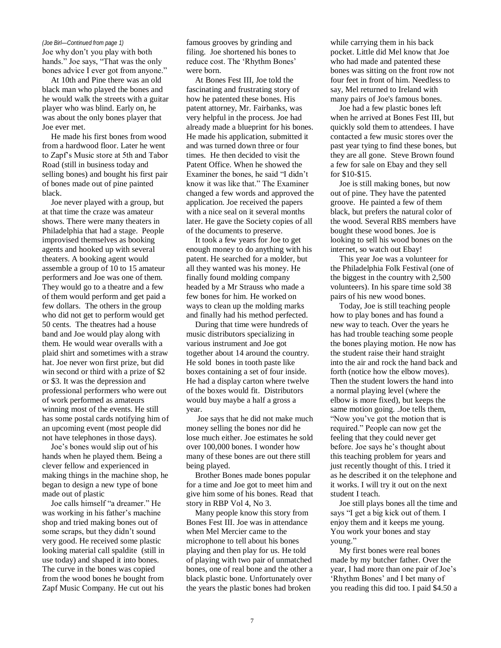Joe why don"t you play with both hands." Joe says, "That was the only bones advice I ever got from anyone."

At 10th and Pine there was an old black man who played the bones and he would walk the streets with a guitar player who was blind. Early on, he was about the only bones player that Joe ever met.

He made his first bones from wood from a hardwood floor. Later he went to Zapf"s Music store at 5th and Tabor Road (still in business today and selling bones) and bought his first pair of bones made out of pine painted black.

Joe never played with a group, but at that time the craze was amateur shows. There were many theaters in Philadelphia that had a stage. People improvised themselves as booking agents and hooked up with several theaters. A booking agent would assemble a group of 10 to 15 amateur performers and Joe was one of them. They would go to a theatre and a few of them would perform and get paid a few dollars. The others in the group who did not get to perform would get 50 cents. The theatres had a house band and Joe would play along with them. He would wear overalls with a plaid shirt and sometimes with a straw hat. Joe never won first prize, but did win second or third with a prize of \$2 or \$3. It was the depression and professional performers who were out of work performed as amateurs winning most of the events. He still has some postal cards notifying him of an upcoming event (most people did not have telephones in those days).

Joe"s bones would slip out of his hands when he played them. Being a clever fellow and experienced in making things in the machine shop, he began to design a new type of bone made out of plastic

Joe calls himself "a dreamer." He was working in his father's machine shop and tried making bones out of some scraps, but they didn"t sound very good. He received some plastic looking material call spaldite (still in use today) and shaped it into bones. The curve in the bones was copied from the wood bones he bought from Zapf Music Company. He cut out his

*(Joe Birl—Continued from page 1)* famous grooves by grinding and filing. Joe shortened his bones to reduce cost. The "Rhythm Bones" were born.

> At Bones Fest III, Joe told the fascinating and frustrating story of how he patented these bones. His patent attorney, Mr. Fairbanks, was very helpful in the process. Joe had already made a blueprint for his bones. He made his application, submitted it and was turned down three or four times. He then decided to visit the Patent Office. When he showed the Examiner the bones, he said "I didn"t know it was like that." The Examiner changed a few words and approved the application. Joe received the papers with a nice seal on it several months later. He gave the Society copies of all of the documents to preserve.

It took a few years for Joe to get enough money to do anything with his patent. He searched for a molder, but all they wanted was his money. He finally found molding company headed by a Mr Strauss who made a few bones for him. He worked on ways to clean up the molding marks and finally had his method perfected.

During that time were hundreds of music distributors specializing in various instrument and Joe got together about 14 around the country. He sold bones in tooth paste like boxes containing a set of four inside. He had a display carton where twelve of the boxes would fit. Distributors would buy maybe a half a gross a year.

Joe says that he did not make much money selling the bones nor did he lose much either. Joe estimates he sold over 100,000 bones. I wonder how many of these bones are out there still being played.

Brother Bones made bones popular for a time and Joe got to meet him and give him some of his bones. Read that story in RBP Vol 4, No 3.

Many people know this story from Bones Fest III. Joe was in attendance when Mel Mercier came to the microphone to tell about his bones playing and then play for us. He told of playing with two pair of unmatched bones, one of real bone and the other a black plastic bone. Unfortunately over the years the plastic bones had broken

while carrying them in his back pocket. Little did Mel know that Joe who had made and patented these bones was sitting on the front row not four feet in front of him. Needless to say, Mel returned to Ireland with many pairs of Joe's famous bones.

Joe had a few plastic bones left when he arrived at Bones Fest III, but quickly sold them to attendees. I have contacted a few music stores over the past year tying to find these bones, but they are all gone. Steve Brown found a few for sale on Ebay and they sell for \$10-\$15.

Joe is still making bones, but now out of pine. They have the patented groove. He painted a few of them black, but prefers the natural color of the wood. Several RBS members have bought these wood bones. Joe is looking to sell his wood bones on the internet, so watch out Ebay!

This year Joe was a volunteer for the Philadelphia Folk Festival (one of the biggest in the country with 2,500 volunteers). In his spare time sold 38 pairs of his new wood bones.

Today, Joe is still teaching people how to play bones and has found a new way to teach. Over the years he has had trouble teaching some people the bones playing motion. He now has the student raise their hand straight into the air and rock the hand back and forth (notice how the elbow moves). Then the student lowers the hand into a normal playing level (where the elbow is more fixed), but keeps the same motion going. .Joe tells them, "Now you"ve got the motion that is required." People can now get the feeling that they could never get before. Joe says he"s thought about this teaching problem for years and just recently thought of this. I tried it as he described it on the telephone and it works. I will try it out on the next student I teach.

Joe still plays bones all the time and says "I get a big kick out of them. I enjoy them and it keeps me young. You work your bones and stay young."

My first bones were real bones made by my butcher father. Over the year, I had more than one pair of Joe's 'Rhythm Bones' and I bet many of you reading this did too. I paid \$4.50 a